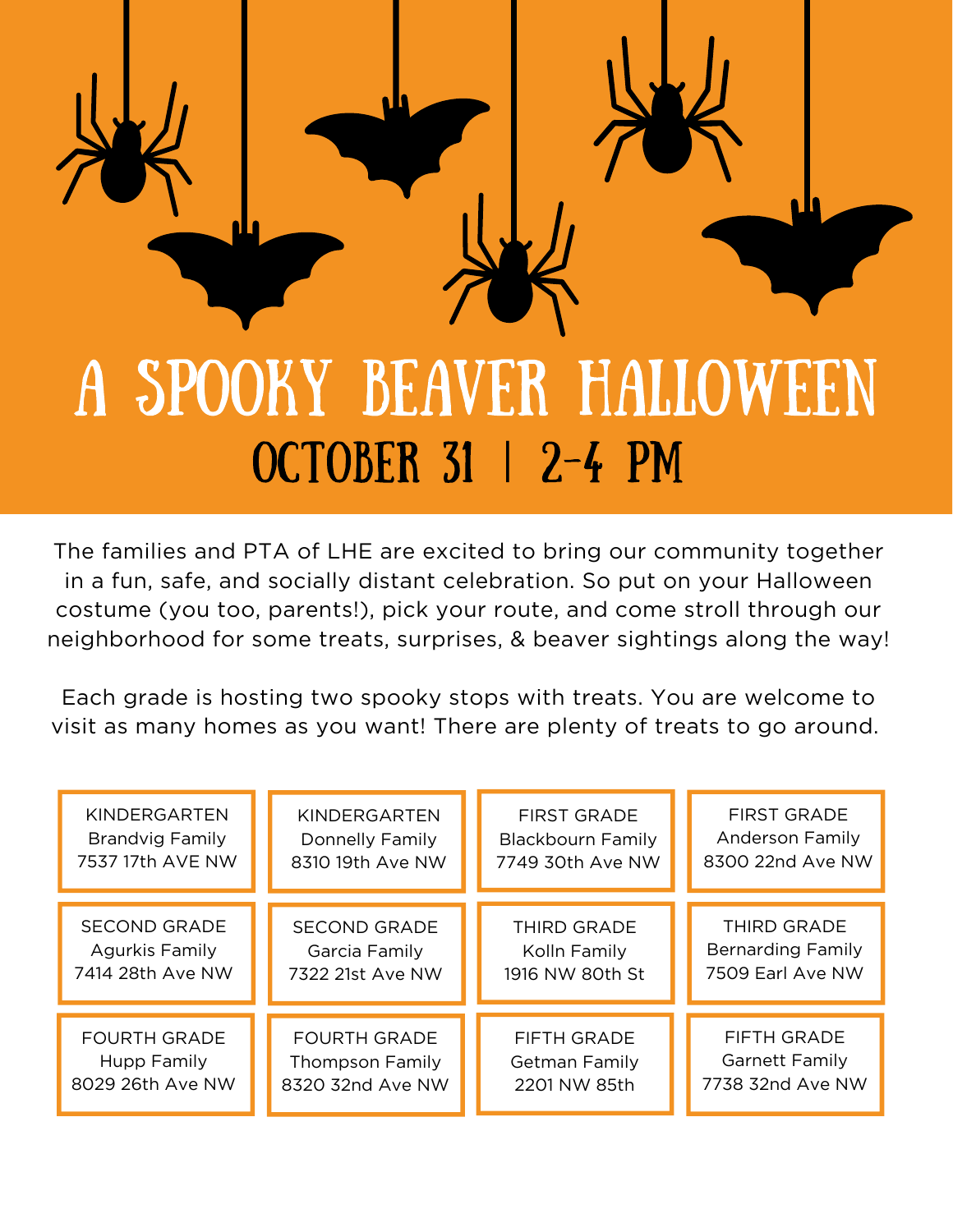

## OCTOBER 31 | 2-4 PM

The families and PTA of LHE are excited to bring our community together in a fun, safe, and socially distant celebration. So put on your Halloween costume (you too, parents!), pick your route, and come stroll through our neighborhood for some treats, surprises, & beaver sightings along the way!

Each grade is hosting two spooky stops with treats. You are welcome to visit as many homes as you want! There are plenty of treats to go around.

| KINDERGARTEN           | KINDERGARTEN           | <b>FIRST GRADE</b>       | <b>FIRST GRADE</b>       |
|------------------------|------------------------|--------------------------|--------------------------|
| <b>Brandvig Family</b> | Donnelly Family        | <b>Blackbourn Family</b> | <b>Anderson Family</b>   |
| 7537 17th AVE NW       | 8310 19th Ave NW       | 7749 30th Ave NW         | 8300 22nd Ave NW         |
| <b>SECOND GRADE</b>    | <b>SECOND GRADE</b>    | <b>THIRD GRADE</b>       | THIRD GRADE              |
| <b>Agurkis Family</b>  | Garcia Family          | Kolln Family             | <b>Bernarding Family</b> |
| 7414 28th Ave NW       | 7322 21st Ave NW       | 1916 NW 80th St          | 7509 Earl Ave NW         |
| <b>FOURTH GRADE</b>    | <b>FOURTH GRADE</b>    | <b>FIFTH GRADE</b>       | <b>FIFTH GRADE</b>       |
| Hupp Family            | <b>Thompson Family</b> | Getman Family            | <b>Garnett Family</b>    |
| 8029 26th Ave NW       | 8320 32nd Ave NW       | 2201 NW 85th             | 7738 32nd Ave NW         |